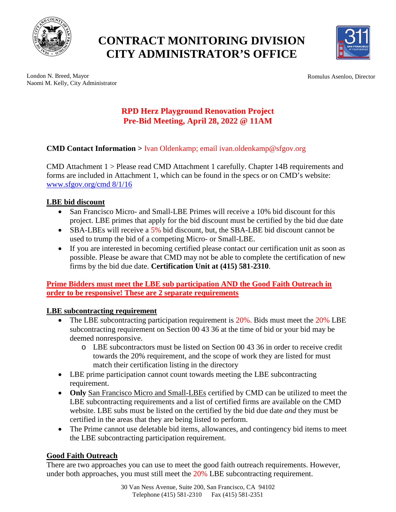

# **CONTRACT MONITORING DIVISION CITY ADMINISTRATOR'S OFFICE**



Romulus Asenloo, Director

London N. Breed, Mayor Naomi M. Kelly, City Administrator

# **RPD Herz Playground Renovation Project Pre-Bid Meeting, April 28, 2022 @ 11AM**

## **CMD Contact Information >** Ivan Oldenkamp; email ivan.oldenkamp@sfgov.org

CMD Attachment 1 > Please read CMD Attachment 1 carefully. Chapter 14B requirements and forms are included in Attachment 1, which can be found in the specs or on CMD's website: [www.sfgov.org/cmd 8/1/16](http://www.sfgov.org/cmd%208/1/16)

#### **LBE bid discount**

- San Francisco Micro- and Small-LBE Primes will receive a 10% bid discount for this project. LBE primes that apply for the bid discount must be certified by the bid due date
- SBA-LBEs will receive a 5% bid discount, but, the SBA-LBE bid discount cannot be used to trump the bid of a competing Micro- or Small-LBE.
- If you are interested in becoming certified please contact our certification unit as soon as possible. Please be aware that CMD may not be able to complete the certification of new firms by the bid due date. **Certification Unit at (415) 581-2310**.

**Prime Bidders must meet the LBE sub participation AND the Good Faith Outreach in order to be responsive! These are 2 separate requirements**

### **LBE subcontracting requirement**

- The LBE subcontracting participation requirement is 20%. Bids must meet the 20% LBE subcontracting requirement on Section 00 43 36 at the time of bid or your bid may be deemed nonresponsive.
	- o LBE subcontractors must be listed on Section 00 43 36 in order to receive credit towards the 20% requirement, and the scope of work they are listed for must match their certification listing in the directory
- LBE prime participation cannot count towards meeting the LBE subcontracting requirement.
- **Only** San Francisco Micro and Small-LBEs certified by CMD can be utilized to meet the LBE subcontracting requirements and a list of certified firms are available on the CMD website. LBE subs must be listed on the certified by the bid due date *and* they must be certified in the areas that they are being listed to perform.
- The Prime cannot use deletable bid items, allowances, and contingency bid items to meet the LBE subcontracting participation requirement.

### **Good Faith Outreach**

There are two approaches you can use to meet the good faith outreach requirements. However, under both approaches, you must still meet the 20% LBE subcontracting requirement.